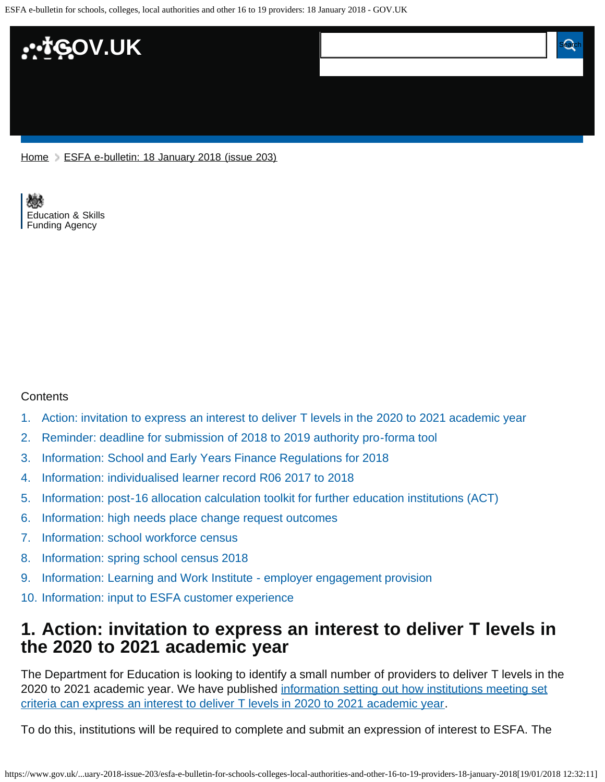ESFA e-bulletin for schools, colleges, local authorities and other 16 to 19 providers: 18 January 2018 - GOV.UK



[Home](https://www.gov.uk/) > [ESFA e-bulletin: 18 January 2018 \(issue 203\)](https://www.gov.uk/government/publications/esfa-e-bulletin-18-january-2018-issue-203)

[Education & Skills](https://www.gov.uk/government/organisations/education-and-skills-funding-agency)  [Funding Agency](https://www.gov.uk/government/organisations/education-and-skills-funding-agency)

#### **Contents**

- [1.](#page-0-0) [Action: invitation to express an interest to deliver T levels in the 2020 to 2021 academic year](#page-0-0)
- [2.](#page-1-0) [Reminder: deadline for submission of 2018 to 2019 authority pro-forma tool](#page-1-0)
- [3.](#page-1-1) [Information: School and Early Years Finance Regulations for 2018](#page-1-1)
- [4.](#page-1-2) [Information: individualised learner record R06 2017 to 2018](#page-1-2)
- [5.](#page-2-0) [Information: post-16 allocation calculation toolkit for further education institutions \(ACT\)](#page-2-0)
- [6.](#page-2-1) [Information: high needs place change request outcomes](#page-2-1)
- [7.](#page-2-2) [Information: school workforce census](#page-2-2)
- [8.](#page-3-0) [Information: spring school census 2018](#page-3-0)
- [9.](#page-3-1) [Information: Learning and Work Institute employer engagement provision](#page-3-1)
- [10.](#page-3-2) [Information: input to ESFA customer experience](#page-3-2)

#### <span id="page-0-0"></span>**1. Action: invitation to express an interest to deliver T levels in the 2020 to 2021 academic year**

The Department for Education is looking to identify a small number of providers to deliver T levels in the 2020 to 2021 academic year. We have published [information setting out how institutions meeting set](https://www.gov.uk/guidance/invitation-to-express-an-interest-to-deliver-t-levels-in-2020-to-2021-academic-year) [criteria can express an interest to deliver T levels in 2020 to 2021 academic year](https://www.gov.uk/guidance/invitation-to-express-an-interest-to-deliver-t-levels-in-2020-to-2021-academic-year).

To do this, institutions will be required to complete and submit an expression of interest to ESFA. The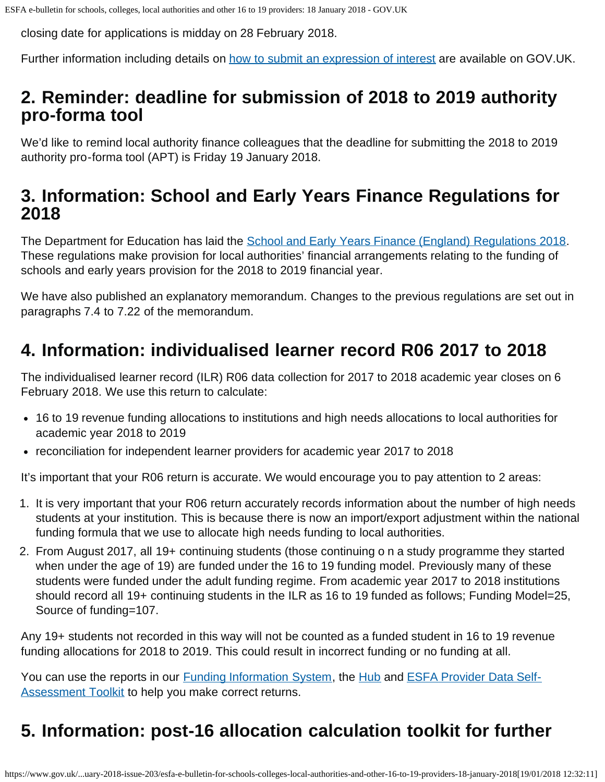closing date for applications is midday on 28 February 2018.

Further information including details on [how to submit an expression of interest](https://www.gov.uk/guidance/invitation-to-express-an-interest-to-deliver-t-levels-in-2020-to-2021-academic-year) are available on GOV.UK.

## <span id="page-1-0"></span>**2. Reminder: deadline for submission of 2018 to 2019 authority pro-forma tool**

We'd like to remind local authority finance colleagues that the deadline for submitting the 2018 to 2019 authority pro-forma tool (APT) is Friday 19 January 2018.

### <span id="page-1-1"></span>**3. Information: School and Early Years Finance Regulations for 2018**

The Department for Education has laid the [School and Early Years Finance \(England\) Regulations 2018](http://www.legislation.gov.uk/uksi/2018/10/contents/made). These regulations make provision for local authorities' financial arrangements relating to the funding of schools and early years provision for the 2018 to 2019 financial year.

We have also published an explanatory memorandum. Changes to the previous regulations are set out in paragraphs 7.4 to 7.22 of the memorandum.

## <span id="page-1-2"></span>**4. Information: individualised learner record R06 2017 to 2018**

The individualised learner record (ILR) R06 data collection for 2017 to 2018 academic year closes on 6 February 2018. We use this return to calculate:

- 16 to 19 revenue funding allocations to institutions and high needs allocations to local authorities for academic year 2018 to 2019
- reconciliation for independent learner providers for academic year 2017 to 2018

It's important that your R06 return is accurate. We would encourage you to pay attention to 2 areas:

- 1. It is very important that your R06 return accurately records information about the number of high needs students at your institution. This is because there is now an import/export adjustment within the national funding formula that we use to allocate high needs funding to local authorities.
- 2. From August 2017, all 19+ continuing students (those continuing o n a study programme they started when under the age of 19) are funded under the 16 to 19 funding model. Previously many of these students were funded under the adult funding regime. From academic year 2017 to 2018 institutions should record all 19+ continuing students in the ILR as 16 to 19 funded as follows; Funding Model=25, Source of funding=107.

Any 19+ students not recorded in this way will not be counted as a funded student in 16 to 19 revenue funding allocations for 2018 to 2019. This could result in incorrect funding or no funding at all.

You can use the reports in our **Funding Information System**, the **Hub and [ESFA Provider Data Self-](https://www.gov.uk/government/publications/ilr-data-check-that-it-meets-standards-and-quality-requirements)[Assessment Toolkit](https://www.gov.uk/government/publications/ilr-data-check-that-it-meets-standards-and-quality-requirements) to help you make correct returns.** 

# **5. Information: post-16 allocation calculation toolkit for further**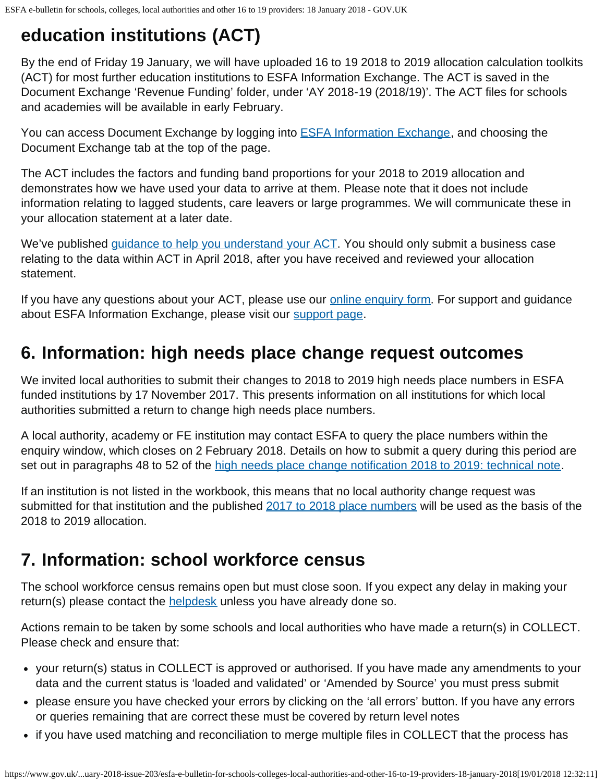# <span id="page-2-0"></span>**education institutions (ACT)**

By the end of Friday 19 January, we will have uploaded 16 to 19 2018 to 2019 allocation calculation toolkits (ACT) for most further education institutions to ESFA Information Exchange. The ACT is saved in the Document Exchange 'Revenue Funding' folder, under 'AY 2018-19 (2018/19)'. The ACT files for schools and academies will be available in early February.

You can access Document Exchange by logging into **ESFA Information Exchange**, and choosing the Document Exchange tab at the top of the page.

The ACT includes the factors and funding band proportions for your 2018 to 2019 allocation and demonstrates how we have used your data to arrive at them. Please note that it does not include information relating to lagged students, care leavers or large programmes. We will communicate these in your allocation statement at a later date.

We've published [guidance to help you understand your ACT.](https://www.gov.uk/government/publications/16-to-19-funding-allocations-supporting-documents-for-2018-to-2019) You should only submit a business case relating to the data within ACT in April 2018, after you have received and reviewed your allocation statement.

If you have any questions about your ACT, please use our **online enquiry form**. For support and guidance about ESFA Information Exchange, please visit our [support page.](https://www.gov.uk/government/publications/efa-information-exchange/efa-information-exchange-request-support)

## <span id="page-2-1"></span>**6. Information: high needs place change request outcomes**

We invited local authorities to submit their changes to 2018 to 2019 high needs place numbers in ESFA funded institutions by 17 November 2017. This presents information on all institutions for which local authorities submitted a return to change high needs place numbers.

A local authority, academy or FE institution may contact ESFA to query the place numbers within the enquiry window, which closes on 2 February 2018. Details on how to submit a query during this period are set out in paragraphs 48 to 52 of the [high needs place change notification 2018 to 2019: technical note.](https://www.gov.uk/government/publications/high-needs-funding-arrangements-2018-to-2019)

If an institution is not listed in the workbook, this means that no local authority change request was submitted for that institution and the published [2017 to 2018 place numbers](https://www.gov.uk/government/publications/high-needs-allocated-place-numbers) will be used as the basis of the 2018 to 2019 allocation.

## <span id="page-2-2"></span>**7. Information: school workforce census**

The school workforce census remains open but must close soon. If you expect any delay in making your return(s) please contact the **helpdesk** unless you have already done so.

Actions remain to be taken by some schools and local authorities who have made a return(s) in COLLECT. Please check and ensure that:

- your return(s) status in COLLECT is approved or authorised. If you have made any amendments to your data and the current status is 'loaded and validated' or 'Amended by Source' you must press submit
- please ensure you have checked your errors by clicking on the 'all errors' button. If you have any errors or queries remaining that are correct these must be covered by return level notes
- if you have used matching and reconciliation to merge multiple files in COLLECT that the process has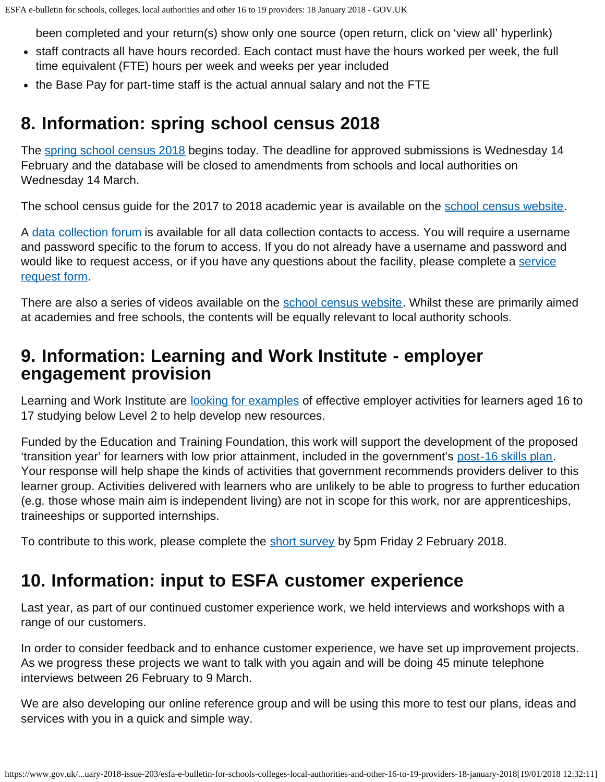been completed and your return(s) show only one source (open return, click on 'view all' hyperlink)

- staff contracts all have hours recorded. Each contact must have the hours worked per week, the full time equivalent (FTE) hours per week and weeks per year included
- the Base Pay for part-time staff is the actual annual salary and not the FTE

### <span id="page-3-0"></span>**8. Information: spring school census 2018**

The [spring school census 2018](https://www.gov.uk/guidance/school-census) begins today. The deadline for approved submissions is Wednesday 14 February and the database will be closed to amendments from schools and local authorities on Wednesday 14 March.

The school census guide for the 2017 to 2018 academic year is available on the [school census website](https://www.gov.uk/guidance/school-census).

A [data collection forum](https://forums.education.gov.uk/?q=node/2) is available for all data collection contacts to access. You will require a username and password specific to the forum to access. If you do not already have a username and password and would like to request access, or if you have any questions about the facility, please complete a [service](https://form.education.gov.uk/fillform.php?self=1&form_id=hGz7nZcsdnX&noLoginPrompt=1) [request form.](https://form.education.gov.uk/fillform.php?self=1&form_id=hGz7nZcsdnX&noLoginPrompt=1)

There are also a series of videos available on the [school census website.](https://www.gov.uk/guidance/school-census) Whilst these are primarily aimed at academies and free schools, the contents will be equally relevant to local authority schools.

### <span id="page-3-1"></span>**9. Information: Learning and Work Institute - employer engagement provision**

Learning and Work Institute are [looking for examples](https://www.snapsurveys.com/wh/s.asp?k=151240987033) of effective employer activities for learners aged 16 to 17 studying below Level 2 to help develop new resources.

Funded by the Education and Training Foundation, this work will support the development of the proposed 'transition year' for learners with low prior attainment, included in the government's [post-16 skills plan.](https://www.gov.uk/government/publications/post-16-skills-plan-and-independent-report-on-technical-education) Your response will help shape the kinds of activities that government recommends providers deliver to this learner group. Activities delivered with learners who are unlikely to be able to progress to further education (e.g. those whose main aim is independent living) are not in scope for this work, nor are apprenticeships, traineeships or supported internships.

To contribute to this work, please complete the [short survey](https://www.snapsurveys.com/wh/s.asp?k=151240987033) by 5pm Friday 2 February 2018.

## <span id="page-3-2"></span>**10. Information: input to ESFA customer experience**

Last year, as part of our continued customer experience work, we held interviews and workshops with a range of our customers.

In order to consider feedback and to enhance customer experience, we have set up improvement projects. As we progress these projects we want to talk with you again and will be doing 45 minute telephone interviews between 26 February to 9 March.

We are also developing our online reference group and will be using this more to test our plans, ideas and services with you in a quick and simple way.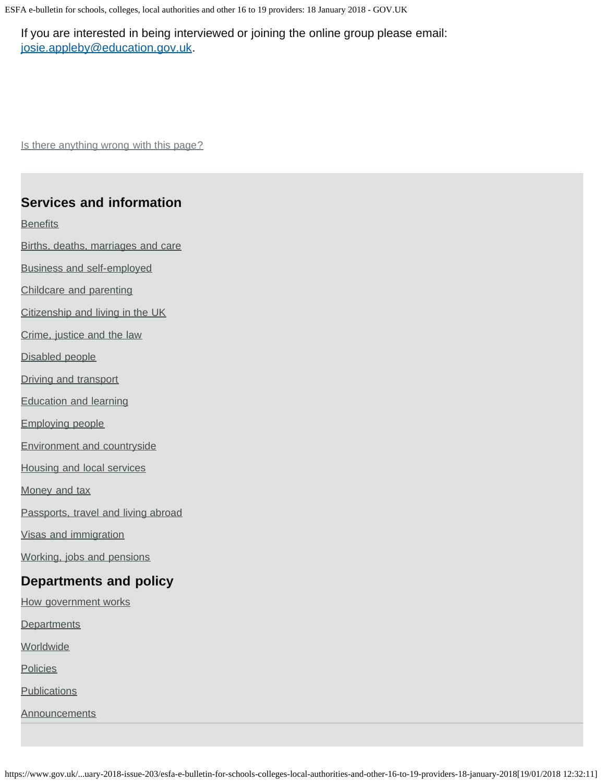ESFA e-bulletin for schools, colleges, local authorities and other 16 to 19 providers: 18 January 2018 - GOV.UK

If you are interested in being interviewed or joining the online group please email: [josie.appleby@education.gov.uk](mailto:josie.appleby@education.gov.uk).

Is there anything wrong with this page?

#### **Services and information**

**[Benefits](https://www.gov.uk/browse/benefits)** 

[Births, deaths, marriages and care](https://www.gov.uk/browse/births-deaths-marriages)

[Business and self-employed](https://www.gov.uk/browse/business)

[Childcare and parenting](https://www.gov.uk/browse/childcare-parenting)

[Citizenship and living in the UK](https://www.gov.uk/browse/citizenship)

[Crime, justice and the law](https://www.gov.uk/browse/justice)

[Disabled people](https://www.gov.uk/browse/disabilities)

[Driving and transport](https://www.gov.uk/browse/driving)

[Education and learning](https://www.gov.uk/browse/education)

[Employing people](https://www.gov.uk/browse/employing-people)

[Environment and countryside](https://www.gov.uk/browse/environment-countryside)

[Housing and local services](https://www.gov.uk/browse/housing-local-services)

[Money and tax](https://www.gov.uk/browse/tax)

[Passports, travel and living abroad](https://www.gov.uk/browse/abroad)

[Visas and immigration](https://www.gov.uk/browse/visas-immigration)

[Working, jobs and pensions](https://www.gov.uk/browse/working)

#### **Departments and policy**

[How government works](https://www.gov.uk/government/how-government-works) **[Departments](https://www.gov.uk/government/organisations) [Worldwide](https://www.gov.uk/world) [Policies](https://www.gov.uk/government/policies) [Publications](https://www.gov.uk/government/publications)** 

**[Announcements](https://www.gov.uk/government/announcements)**